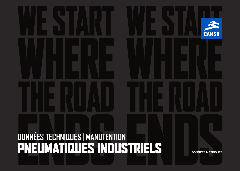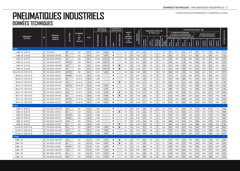|                                    |           | MARQUE<br><b>NOM DE</b><br><b>PRODUIT</b> |             | <b>CHAMBRE</b><br>AIR* |             | <b>DIMENSION</b><br>DE LA JANTE <sup>1</sup> |                          | <b>COMPOSÉ DE</b><br>CAOUTCHOUC |              |     |                                  |                             |                       | <b>DIMENSIONS RÉELLES</b> |                                    |                             | CAPACITÉ DE CHARGE <sup>2</sup> (kg) |                    |                                                       |                    |                                     |                    |                    |                    |                   |
|------------------------------------|-----------|-------------------------------------------|-------------|------------------------|-------------|----------------------------------------------|--------------------------|---------------------------------|--------------|-----|----------------------------------|-----------------------------|-----------------------|---------------------------|------------------------------------|-----------------------------|--------------------------------------|--------------------|-------------------------------------------------------|--------------------|-------------------------------------|--------------------|--------------------|--------------------|-------------------|
|                                    |           |                                           |             |                        | <b>FLAP</b> |                                              |                          |                                 |              |     | <b>INDICE</b><br>DE.             | (bar)                       |                       |                           | DU PNEU (mm)                       |                             |                                      |                    | <b>CHARIOTS ÉLÉVATEURS</b><br>À FOURCHE À CONTREPOIDS |                    | <b>AUTRES VÉHICULES<sup>3</sup></b> |                    |                    |                    |                   |
| <b>DIMENSION</b><br><b>DU PNEU</b> | <b>PR</b> |                                           | SCULPTURE   |                        |             |                                              |                          |                                 |              |     | <b>CHARIOT</b><br><b>ET CODE</b> |                             |                       |                           |                                    |                             |                                      |                    | Jusqu'à 25 km/h│Jusqu'à 35 km/h                       |                    | À VITESSE MAXIMALE                  |                    |                    |                    |                   |
|                                    |           |                                           |             | ET.<br><b>VALVE**</b>  |             | RECOMMANDÉE                                  | ERNATIVE<br>ൎ            | <b>NOIR</b>                     | NON-MARQUANT |     | DE<br><b>VITESSE</b>             | PRESSION<br>GONFLAGE (<br>Ě | Diamètre<br>hors-tout | Largeur<br>hors-tout      | Bande de<br>roulement<br>originale | Rayon<br>charge<br>statique | Roue<br>porteuse                     | Roue<br>directrice | Roue<br>porteuse                                      | Roue<br>directrice | Jusqu'à<br>10 km/h                  | Jusqu'à<br>25 km/h | Jusqu'à<br>40 km/h | Jusqu'à<br>50 km/h | STATIQUE (0 km/h) |
| 8 po                               |           |                                           |             |                        |             |                                              |                          |                                 |              |     |                                  |                             |                       |                           |                                    |                             |                                      |                    |                                                       |                    |                                     |                    |                    |                    |                   |
| $4.00 - 8$ $(4.80 - 8)$            |           | 8 SOLIDEAL                                | <b>RIB</b>  | JS <sub>2</sub>        | $90 - 8$    | 3.251                                        | 3.00D                    | ٠                               |              | 94  | A <sub>5</sub>                   | 9.00                        | 425                   | 114                       | 7                                  | 194                         | 870                                  | 670                | 840                                                   | 620                | 870                                 | 670                | 595                | 565                | 1010              |
| $4.00 - 8$ $(4.80 - 8)$            |           | 10 SOLIDEAL AIR 550                       | $ED+$       | JS <sub>2</sub>        | $90 - 8$    | 3.251                                        | 3.00D                    | п                               |              | 97  | A <sub>5</sub>                   | 10.00                       | 422                   | 115                       | 12                                 | 196                         | 950                                  | 730                | 915                                                   | 675                | 950                                 | 730                | 650                | 615                | 1100              |
| $5.00 - 8$ (5.70-8)                |           | 8 SOLIDEAL AIR 550                        | $ED+$       | JS <sub>2</sub>        | $90 - 8$    | 3.00D                                        | 3.25/3.75                | ٠                               |              | 106 | A <sub>5</sub>                   | 8.25                        | 467                   | 132                       | 14                                 | 210                         | 1235                                 | 950                | 1190                                                  | 880                | 1235                                | 950                | 845                | 800                | 1435              |
| $5.00 - 8$ (5.70-8)                |           | 8 SOLIDEAL AIR 570                        | AIR 570     | JS <sub>2</sub>        | $90 - 8$    | 3.00D                                        | 3.25//3.75               | ٠                               |              | 106 | A <sub>5</sub>                   | 8.25                        | 468                   | 128                       | 10                                 | 217                         | 1235                                 | 950                | 1190                                                  | 880                | 1235                                | 950                | 845                | 800                | 1435              |
| $5.00 - 8$ (5.70-8)                |           | 10 SOLIDEAL HAULER                        | <b>HALT</b> | JS <sub>2</sub>        | $90 - 8$    | 3.00D                                        | 3.25//3.75               | п                               | п            | 111 | A <sub>5</sub>                   | 10.00                       | 460                   | 132                       | 14                                 | 209                         | 1415                                 | 1090               | 1365                                                  | 1010               | 1415                                | 1090               | 970                | 915                | 1645              |
| $5.00 - 8$ (5.70-8)                |           | 10 SOLIDEAL AIR 550                       | $ED+$       | JS <sub>2</sub>        | $90 - 8$    | 3.00D                                        | 3.251/3.751              | ш                               |              | 111 | A <sub>5</sub>                   | 10.00                       | 461                   | 128                       | 15                                 | 213                         | 1415                                 | 1090               | 1365                                                  | 1010               | 1415                                | 1090               | 970                | 915                | 1645              |
| $15 \times 41/2 - 8$ (125/75-8)    |           | 12 SOLIDEAL AIR 570                       | AIR 570     | JS <sub>2</sub>        | $90 - 8$    | 3.25                                         | 3.00D                    | ٠                               |              | 100 | A <sub>5</sub>                   | 10.00                       | 393                   | 112                       | 10                                 | 183                         | 1040                                 | 800                | 1000                                                  | 740                | 1040                                | 800                | 710                | 670                | 1210              |
| $16 \times 6 - 8$ (150/75-8)       |           | 10 SOLIDEAL AIR 570                       | AIR 570     | $V3 - 02 - 5$          | $130 - 8$   | 4.33R                                        | $\overline{\phantom{a}}$ | п                               |              | 107 | A <sub>5</sub>                   | 8.00                        | 427                   | 139                       | 10                                 | 197                         | 1270                                 | 975                | 1220                                                  | 900                | 1270                                | 975                | 870                | 820                | 1470              |
| $16 \times 6 - 8$ (150/75-8)       |           | 14 SOLIDEAL AIR 550                       | $ED+$       | $V3 - 02 - 5$          | $130 - 8$   | 4.33R                                        |                          | п                               |              | 111 | A <sub>5</sub>                   | 9.50                        | 420                   | 147                       | 13                                 | 191                         | 1415                                 | 1090               | 1365                                                  | 1010               | 1415                                | 1090               | 970                | 915                | 1645              |
| $16 \times 6 - 8$ (150/75-8)       |           | 16 SOLIDEAL HAULER                        | <b>HALT</b> | $V3 - 02 - 5$          | $130 - 8$   | 4.33R                                        | $\overline{\phantom{a}}$ | п                               | п            | 113 | A <sub>5</sub>                   | 10.00                       | 421                   | 147                       | 12                                 | 190                         | 1495                                 | 1150               | 1440                                                  | 1065               | 1495                                | 1150               | 1025               | 965                | 1735              |
| $18 \times 7 - 8$ (180/70-8)       |           | 14 SOLIDEAL AIR 570                       | AIR 570     | $V3 - 02 - 19$         | $130 - 8$   | 4.33R                                        | 5.00F                    | ٠                               |              | 121 | A <sub>5</sub>                   | 9.00                        | 471                   | 159                       | 12                                 | 237                         | 1885                                 | 1450               | 1815                                                  | 1340               | 1885                                | 1450               | 1290               | 1220               | 2190              |
| $18 \times 7 - 8$ (180/70-8)       |           | 14 SOLIDEAL AIR 550                       | $ED+$       | $V3 - 02 - 5$          | $130 - 8$   | 4.33R                                        | 5.00F                    | ш                               |              | 121 | A <sub>5</sub>                   | 9.00                        | 460                   | 155                       | 9                                  | 208                         | 1885                                 | 1450               | 1815                                                  | 1340               | 1885                                | 1450               | 1290               | 1220               | 2190              |
| $18 \times 7 - 8$ (180/70-8)       |           | 16 SOLIDEAL HAULER                        | <b>HALT</b> | $V3 - 02 - 5$          | $130 - 8$   | 4.33R                                        | 5.00F                    | п                               | п            | 125 | A <sub>5</sub>                   | 10.00                       | 472                   | 164                       | 18                                 | 210                         | 2145                                 | 1650               | 2065                                                  | 1525               | 2145                                | 1650               | 1470               | 1385               | 2490              |
| $18 \times 7 - 8$ (180/70-8)       |           | 16 SOLIDEAL AIR 550                       | $ED+$       | $V3 - 02 - 5$          | $130 - 8$   | 4.33R                                        | 5.00F                    | п                               |              | 125 | A <sub>5</sub>                   | 10.00                       | 459                   | 157                       | 16                                 | 207                         | 2145                                 | 1650               | 2065                                                  | 1525               | 2145                                | 1650               | 1470               | 1385               | 2490              |
| $18 \times 7 - 8$ (180/70-8)       |           | 16 SOLIDEAL AIR 570                       | AIR 570     | $V3 - 02 - 19$         | $130 - 8$   | 4.33R                                        | 5.00F                    | ш                               |              | 125 | A <sub>5</sub>                   | 10.00                       | 471                   | 164                       | 12                                 | 212                         | 2145                                 | 1650               | 2065                                                  | 1525               | 2145                                | 1650               | 1470               | 1385               | 2490              |
| $18 \times 7 - 8$ (180/70-8)       |           | 16 SOLIDEAL AIR 570                       | AIR 570     | $V3 - 02 - 19$         | $130 - 8$   | 4.33R                                        | 5.00F                    | ٠                               |              | 125 | A <sub>5</sub>                   | 10.00                       | 471                   | 164                       | 12                                 | 212                         | 2145                                 | 1650               | 2065                                                  | 1525               | 2145                                | 1650               | 1470               | 1385               | 2490              |
| 9 po                               |           |                                           |             |                        |             |                                              |                          |                                 |              |     |                                  |                             |                       |                           |                                    |                             |                                      |                    |                                                       |                    |                                     |                    |                    |                    |                   |
| $6.00 - 9$ $(6.90 - 9)$            |           | 10 SOLIDEAL HAULER                        | <b>HALT</b> | JS <sub>2</sub>        | $125 - 9$   | 4.00E                                        | $\overline{\phantom{a}}$ | п                               |              | 118 | A <sub>5</sub>                   | 8.50                        | 536                   | 168                       | 16                                 | 243                         | 1715                                 | 1320               | 1650                                                  | 1220               | 1715                                | 1320               | 1175               | 1110               | 1995              |
| $6.00 - 9$ $(6.90 - 9)$            |           | 10 SOLIDEAL AIR 550                       | $ED+$       | JS <sub>2</sub>        | $125 - 9$   | 4.00E                                        | $\overline{\phantom{a}}$ | п                               | п            | 118 | A <sub>5</sub>                   | 8.50                        | 534                   | 165                       | 11                                 | 245                         | 1715                                 | 1320               | 1650                                                  | 1220               | 1715                                | 1320               | 1175               | 1110               | 1995              |
| $6.00 - 9$ $(6.90 - 9)$            |           | 10 SOLIDEAL AIR 570                       | AIR 570     | JS <sub>2</sub>        | $125 - 9$   | 4.00E                                        | $\overline{\phantom{a}}$ | п                               |              | 118 | A <sub>5</sub>                   | 8.50                        | 540                   | 157                       | 12                                 | 249                         | 1715                                 | 1320               | 1650                                                  | 1220               | 1715                                | 1320               | 1175               | 1110               | 1995              |
| $6.00 - 9$ $(6.90 - 9)$            |           | 10 SOLIDEAL AIR 56                        | AIR 561     | JS <sub>2</sub>        | $125 - 9$   | 4.00E                                        | $\overline{\phantom{a}}$ | п                               |              | 118 | A <sub>5</sub>                   | 8.50                        | 537                   | 161                       | 12                                 | 252                         | 1715                                 | 1320               | 1650                                                  | 1220               | 1715                                | 1320               | 1175               | 1110               | 1995              |
| $6.00 - 9$ (6.90-9)                |           | 12 SOLIDEAL HAULER                        | <b>HALT</b> | JS <sub>2</sub>        | $125 - 9$   | 4.00E                                        | $\overline{\phantom{a}}$ | п                               |              | 121 | A <sub>5</sub>                   | 10.00                       | 544                   | 166                       | 16                                 | 245                         | 1885                                 | 1450               | 1815                                                  | 1340               | 1885                                | 1450               | 1290               | 1220               | 2190              |
| $6.00 - 9$ (6.90-9)                |           | 12 SOLIDEAL AIR 550                       | $ED+$       | JS <sub>2</sub>        | $125 - 9$   | 4.00E                                        | $\overline{\phantom{a}}$ | п                               | п            | 121 | A <sub>5</sub>                   | 10.00                       | 536                   | 160                       | 15                                 | 247                         | 1885                                 | 1450               | 1815                                                  | 1340               | 1885                                | 1450               | 1290               | 1220               | 2190              |
| $21 \times 8 - 9$ (200/75-9)       |           | 14 SOLIDEAL AIR 550                       | $ED+$       | JS <sub>2</sub>        | $180 - 9$   | 6.00E                                        | 7.00E                    | п                               |              | 131 | A <sub>5</sub>                   | 9.00                        | 531                   | 194                       | 21                                 | 240                         | 2535                                 | 1950               | 2440                                                  | 1805               | 2535                                | 1950               | 1735               | 1640               | 2945              |
| $21 \times 8 - 9$ (200/75-9)       |           | 16 SOLIDEAL HAULER                        | <b>HALT</b> | JS <sub>2</sub>        | $180 - 9$   | 6.00E                                        | 7.00E                    | п                               |              | 134 | A <sub>5</sub>                   | 10.00                       | 546                   | 198                       | 19                                 | 240                         | 2755                                 | 2120               | 2650                                                  | 1960               | 2755                                | 2120               | 1885               | 1780               | 3200              |
| $21 \times 8 - 9$ (200/75-9)       |           | 16 SOLIDEAL AIR 570                       | AIR 570     | JS <sub>2</sub>        | $180 - 9$   | 6.00E                                        | 7.00E                    | ٠                               |              | 134 | A <sub>5</sub>                   | 10.00                       | 529                   | 199                       | 13                                 | 242                         | 2755                                 | 2120               | 2650                                                  | 1960               | 2755                                | 2120               | 1885               | 1780               | 3200              |
| 10 <sub>po</sub>                   |           |                                           |             |                        |             |                                              |                          |                                 |              |     |                                  |                             |                       |                           |                                    |                             |                                      |                    |                                                       |                    |                                     |                    |                    |                    |                   |
| $6.50 - 10$                        |           | 10 SOLIDEAL HAULER                        | <b>HALT</b> | JS <sub>2</sub>        | 140-10      | 5.00F                                        | 5.50F                    | п                               |              | 122 | A <sub>5</sub>                   | 7.75                        | 592                   | 183                       | 16                                 | 271                         | 1950                                 | 1500               | 1875                                                  | 1390               | 1950                                | 1500               | 1335               | 1260               | 2265              |
| $6.50 - 10$                        |           | 10 SOLIDEAL AIR 550                       | $ED+$       | JS <sub>2</sub>        | 140-10      | 5.00F                                        | 5.50F                    | ٠                               | п            | 122 | A <sub>5</sub>                   | 7.75                        | 590                   | 179                       | 10                                 | 271                         | 1950                                 | 1500               | 1875                                                  | 1390               | 1950                                | 1500               | 1335               | 1260               | 2265              |
| $6.50 - 10$                        |           | 10 SOLIDEAL AIR 561                       | AIR 561     | JS <sub>2</sub>        | 140-10      | 5.00F                                        | 5.50F                    | ٠                               |              | 122 | A <sub>5</sub>                   | 7.75                        | 586                   | 176                       | 13                                 | 272                         | 1950                                 | 1500               | 1875                                                  | 1390               | 1950                                | 1500               | 1335               | 1260               | 2265              |
| $6.50 - 10$                        |           | 12 SOLIDEAL HAULER                        | <b>HALT</b> | JS <sub>2</sub>        | 140-10      | 5.00F                                        | 5.50F                    | ٠                               |              | 125 | A <sub>5</sub>                   | 9.00                        | 595                   | 181                       | 16                                 | 272                         | 2145                                 | 1650               | 2065                                                  | 1525               | 2145                                | 1650               | 1470               | 1385               | 2490              |
| $6.50 - 10$                        |           | 12 SOLIDEAL AIR 550                       | $ED+$       | JS <sub>2</sub>        | 140-10      | 5.00F                                        | 5.50F                    | ٠                               |              | 125 | A <sub>5</sub>                   | 9.00                        | 588                   | 185                       | 15                                 | 265                         | 2145                                 | 1650               | 2065                                                  | 1525               | 2145                                | 1650               | 1470               | 1385               | 2490              |
| $6.50 - 10$                        |           | 14 SOLIDEAL HAULER                        | <b>HALT</b> | JS <sub>2</sub>        | $140 - 10$  | 5.00F                                        | 5.50F                    | п                               |              | 128 | A <sub>5</sub>                   | 10.00                       | 595                   | 180                       | 16                                 | 268                         | 2340                                 | 1800               | 2250                                                  | 1665               | 2340                                | 1800               | 1600               | 1510               | 2720              |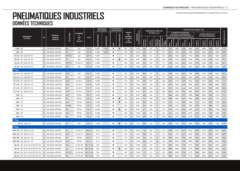|                                          |           |                                                  |                  |                               |             | <b>DIMENSION</b><br>DE LA JANTE |                          | <b>COMPOSÉ DE</b><br><b>CAOUTCHOUC</b> |              |                                  |                      |                             |                       | <b>DIMENSIONS RÉELLES</b> |         |     | CAPACITÉ DE CHARGE <sup>2</sup> (kg) |                                                       |      |                   |                               |                    |                    |                    |                   |  |
|------------------------------------------|-----------|--------------------------------------------------|------------------|-------------------------------|-------------|---------------------------------|--------------------------|----------------------------------------|--------------|----------------------------------|----------------------|-----------------------------|-----------------------|---------------------------|---------|-----|--------------------------------------|-------------------------------------------------------|------|-------------------|-------------------------------|--------------------|--------------------|--------------------|-------------------|--|
|                                          |           | <b>MARQUE</b><br><b>NOM DE</b><br><b>PRODUIT</b> | <b>SCULPTURE</b> | <b>CHAMBRE</b><br>Δ<br>$AIR*$ | <b>FLAP</b> |                                 |                          |                                        |              |                                  | <b>INDICE</b><br>DE. | (bar)                       |                       | DU PNEU (mm)              |         |     |                                      | <b>CHARIOTS ÉLÉVATEURS</b><br>À FOURCHE À CONTREPOIDS |      |                   | AUTRES VÉHICULES <sup>3</sup> |                    |                    |                    |                   |  |
| <b>DIMENSION</b><br><b>DU PNEU</b>       | <b>PR</b> |                                                  |                  |                               |             |                                 |                          |                                        |              | <b>CHARIOT</b><br><b>ET CODE</b> |                      |                             |                       |                           |         |     |                                      | Jusqu'à 25 km/h   Jusqu'à 35 km/h                     |      |                   |                               |                    | À VITESSE MAXIMALE |                    |                   |  |
|                                          |           |                                                  |                  | ET.<br>VALVE**                |             | <b>COMMANDÉ</b>                 | Ę                        | $\bar{2}$                              | NON-MARQUANT | <b>VITESSE</b>                   | DE                   | PRESSION<br>GONFLAGE (<br>岂 | Diamètre<br>hors-tout | Largeur<br>horre          | ande de |     | porteuse                             |                                                       |      | directrice<br>oue | Jusqu'à<br>10 km/h            | Jusqu'à<br>25 km/h | Jusqu'à<br>40 km/h | Jusqu'à<br>50 km/h | STATIQUE (0 km/h) |  |
| $6.50 - 10$                              |           | 14 SOLIDEAL AIR 550                              | $ED+$            | JS <sub>2</sub>               | 140-10      | 5.00F                           | 5.50F                    | ٠                                      | п            | 128                              | A <sub>5</sub>       | 10.00                       | 588                   | 181                       | 10      | 271 | 2340                                 | 1800                                                  | 2250 | 1665              | 2340                          | 1800               | 1600               | 1510               | 2720              |  |
| $7.50 - 10$                              |           | 16 SOLIDEAL AIR 550                              | $ED+$            | JS2                           | $140 - 10$  | 5.50F                           | 5.00F                    | п                                      |              | 138                              | A <sub>5</sub>       | 10.00                       | 632                   | 207                       | 10      | 291 | 3070                                 | 2360                                                  | 2950 | 2185              | 3070                          | 2360               | 2100               | 1980               | 3565              |  |
| $23 \times 9 - 10$ (225/75-10)           |           | 16 SOLIDEAL AIR 570                              | AIR 570          | JS <sub>2</sub>               | 180-10      | 6.50F                           |                          | п                                      |              | 137                              | A <sub>5</sub>       | 8.00                        | 590                   | 214                       | 14      | 270 | 2990                                 | 2300                                                  | 2875 | 2130              | 2990                          | 2300               | 2045               | 1930               | 3475              |  |
| $23 \times 9 - 10$ (225/75-10)           |           | 18 SOLIDEAL AIR 550                              | $ED+$            | JS <sub>2</sub>               | 180-10      | 6.50F                           | $\overline{\phantom{a}}$ | п                                      | п            | 139                              | A <sub>5</sub>       | 9.00                        | 580                   | 232                       | 20      | 263 | 3160                                 | 2430                                                  | 3040 | 2250              | 3160                          | 2430               | 2165               | 2040               | 3670              |  |
| $23 \times 9 - 10$ (225/75-10)           |           | 18 SOLIDEAL AIR 570                              | AIR 570          | $V3 - 02 - 07$                | 180-10      | 6.50F                           | $\overline{\phantom{a}}$ |                                        |              | 139                              | A <sub>5</sub>       | 9.00                        | 594                   | 216                       | 15      | 271 | 3160                                 | 2430                                                  | 3040 | 2250              | 3160                          | 2430               | 2165               | 2040               | 3670              |  |
| $23 \times 9 - 10$ (225/75-10)           |           | 20 SOLIDEAL HAULER                               | <b>HALT</b>      | JS <sub>2</sub>               | 180-10      | 6.50F                           | $\overline{\phantom{a}}$ | п                                      |              | 142                              | A5                   | 10.00                       | 579                   | 235                       | 15      | 261 | 3445                                 | 2650                                                  | 3315 | 2450              | 3445                          | 2650               | 2360               | 2225               | 4000              |  |
| 12 po                                    |           |                                                  |                  |                               |             |                                 |                          |                                        |              |                                  |                      |                             |                       |                           |         |     |                                      |                                                       |      |                   |                               |                    |                    |                    |                   |  |
| $23 \times 10 - 12$ (250/60-12)          |           | 16 SOLIDEAL HAULER                               | <b>HALT</b>      | JS <sub>2</sub>               | 210-12      | 8.00G                           | $\overline{\phantom{a}}$ | п                                      |              | 139                              | A <sub>5</sub>       | 8.00                        | 604                   | 247                       | 18      | 274 | 3160                                 | 2430                                                  | 3040 | 2250              | 3160                          | 2430               | 2165               | 2040               | 3670              |  |
| $23 \times 10 - 12$ (250/60-12)          |           | 16 SOLIDEAL AIR 550                              | $ED+$            | JS <sub>2</sub>               | 210-12      | 8.00G                           |                          | п                                      |              | 139                              | A <sub>5</sub>       | 8.00                        | 591                   | 239                       | 14      | 270 | 3160                                 | 2430                                                  | 3040 | 2250              | 3160                          | 2430               | 2165               | 2040               | 3670              |  |
| $27 \times 10 - 12$ (250/75-12)          |           | 14 SOLIDEAL HAULER                               | <b>HALT</b>      | $V3 - 02 - 5$                 | 210-12      | 8.00G                           | $\overline{\phantom{a}}$ | ٠                                      |              | 143                              | A <sub>5</sub>       | 7.00                        | 679                   | 251                       | 22      | 303 | 3545                                 | 2725                                                  | 3405 | 2520              | 3545                          | 2725               | 2425               | 2290               | 4115              |  |
| $27 \times 10 - 12$ (250/75-12)          |           | 20 SOLIDEAL HAULER                               | <b>HALT</b>      | $V3 - 02 - 5$                 | 210-12      | 8.00G                           |                          | ш                                      |              | 152                              | A <sub>5</sub>       | 10.00                       | 674                   | 249                       | 22      | 305 | 4615                                 | 3550                                                  | 4440 | 3285              | 4615                          | 3550               | 3160               | 2980               | 5360              |  |
| $27 \times 10 - 12$ (250/75-12)          |           | 20 SOLIDEAL AIR 550                              | $ED+$            | $V3 - 02 - 5$                 | 210-12      | 8.00G                           | $\overline{\phantom{a}}$ | п                                      |              | 152                              | A <sub>5</sub>       | 10.00                       | 680                   | 254                       | 14      | 304 | 4615                                 | 3550                                                  | 4440 | 3285              | 4615                          | 3550               | 3160               | 2980               | 5360              |  |
| $27 \times 10 - 12$ (250/75-12)          |           | 24 SOLIDEAL HAULER                               | <b>HALT</b>      | $V3 - 02 - 5$                 | 210-12      | 8.00G                           | $\overline{\phantom{a}}$ | п                                      |              | 158                              | A <sub>5</sub>       | 10.00                       | 674                   | 249                       | 22      | 305 | 5525                                 | 4250                                                  | 5315 | 3930              | 5525                          | 4250               | 3785               | 3570               | 6420              |  |
| $7.00 - 12$                              |           | 12 SOLIDEAL HAULER                               | <b>HALT</b>      | TR75A                         | 135-12      | 5.00S                           | $\overline{\phantom{a}}$ | п                                      |              | 133                              | A <sub>5</sub>       | 8.50                        | 680                   | 194                       | 17      | 311 | 2680                                 | 2060                                                  | 2575 | 1905              | 2680                          | 2060               | 1835               | 1730               | 3110              |  |
| $7.00 - 12$                              |           | 12 SOLIDEAL AIR 550                              | $ED+$            | <b>TR75A</b>                  | 135-12      | 5.00S                           | $\overline{\phantom{a}}$ |                                        | п            | 133                              | A <sub>5</sub>       | 8.50                        | 675                   | 194                       | 16      | 305 | 2680                                 | 2060                                                  | 2575 | 1905              | 2680                          | 2060               | 1835               | 1730               | 3110              |  |
| $7.00 - 12$                              |           | 14 SOLIDEAL HAULER                               | <b>HALT</b>      | <b>TR75A</b>                  | 135-12      | 5.00S                           | $\overline{\phantom{a}}$ | п                                      | г            | 134                              | A <sub>5</sub>       | 9.00                        | 680                   | 195                       | 17      | 310 | 2755                                 | 2120                                                  | 2650 | 1960              | 2755                          | 2120               | 1885               | 1780               | 3200              |  |
| $7.00 - 12$                              |           | 14 SOLIDEAL AIR 561                              | AIR 561          | <b>TR75A</b>                  | 135-12      | 5.00S                           | $\overline{\phantom{a}}$ | п                                      |              | 134                              | A <sub>5</sub>       | 9.00                        | 672                   | 185                       | 14      | 312 | 2755                                 | 2120                                                  | 2650 | 1960              | 2755                          | 2120               | 1885               | 1780               | 3200              |  |
| $7.00 - 12$                              |           | 14 SOLIDEAL AIR 550                              | $ED+$            | <b>TR75A</b>                  | 135-12      | 5.00S                           |                          |                                        | г            | 134                              | A <sub>5</sub>       | 9.00                        | 677                   | 194                       | 12      | 312 | 2755                                 | 2120                                                  | 2650 | 1960              | 2755                          | 2120               | 1885               | 1780               | 3200              |  |
| $7.00 - 12$                              |           | 16 SOLIDEAL HAULER                               | <b>HALT</b>      | <b>TR75A</b>                  | 135-12      | 5.00S                           |                          | п                                      |              | 136                              | A <sub>5</sub>       | 10.00                       | 684                   | 195                       | 18      | 310 | 2910                                 | 2240                                                  | 2800 | 2070              | 2910                          | 2240               | 1995               | 1880               | 3380              |  |
| $7.00 - 12$                              |           | 16 SOLIDEAL AIR 550                              | $ED+$            | <b>TR75A</b>                  | 135-12      | 5.00S                           |                          | п                                      |              | 136                              | A <sub>5</sub>       | 10.00                       | 669                   | 191                       | 12      | 309 | 2910                                 | 2240                                                  | 2800 | 2070              | 2910                          | 2240               | 1995               | 1880               | 3380              |  |
| 13 <sub>po</sub>                         |           |                                                  |                  |                               |             |                                 |                          |                                        |              |                                  |                      |                             |                       |                           |         |     |                                      |                                                       |      |                   |                               |                    |                    |                    |                   |  |
| $23 \times 5$ (5.00-13)                  |           | 10 SOLIDEAL AIR 550                              | $ED+$            | JS <sub>2</sub>               | 130-13      | 3.75P                           |                          | ٠                                      | п            | 122                              | A <sub>5</sub>       | 7.75                        | 635                   | 149                       | 10      | 298 | 1950                                 | 1500                                                  | 1875 | 1390              | 1950                          | 1500               | 1335               | 1260               | 2265              |  |
| 15 po                                    |           |                                                  |                  |                               |             |                                 |                          |                                        |              |                                  |                      |                             |                       |                           |         |     |                                      |                                                       |      |                   |                               |                    |                    |                    |                   |  |
| $355 / 45 - 15$ (28x12.5-15)             |           | 24 SOLIDEAL AIR 550                              | $ED+$            | $V3 - 02 - 10$                | 260-15      | 9.75                            |                          | п                                      |              | 159                              | A <sub>5</sub>       | 10.00                       | 703                   | 292                       | 11      | 321 | 5690                                 | 4375                                                  | 5470 | 4045              | 5690                          | 4375               | 3895               | 3675               | 6605              |  |
| $355/45 - 15$ (28x12.5-15)               |           | 24 SOLIDEAL HAULER                               | <b>HALT</b>      | $V3 - 02 - 10$                | 260-15      | 9.75                            | $\overline{\phantom{a}}$ | п                                      |              | 159                              | A <sub>5</sub>       | 10.00                       | 696                   | 291                       | 17      | 315 | 5690                                 | 4375                                                  | 5470 | 4045              | 5690                          | 4375               | 3895               | 3675               | 6605              |  |
| $355/65 - 15$ (32x12.1-15)               |           | 24 SOLIDEAL AIR 550                              | $ED+$            | <b>TR78A</b>                  | 260-15      | 9.75                            |                          | п                                      |              | 170                              | A <sub>5</sub>       | 10.00                       | 848                   | 324                       | 23      | 388 | 7800                                 | 6000                                                  | 7500 | 5550              | 7800                          | 6000               | 5340               | 5040               | 9060              |  |
| $355/65 - 15$ (32x12.1-15)               |           | 24 SOLIDEAL HAULER                               | <b>HALT</b>      | <b>TR78A</b>                  | 260-15      | 9.75                            |                          | п                                      |              | 170                              | A <sub>5</sub>       | 10.00                       | 806                   | 314                       | 28      | 353 | 7800                                 | 6000                                                  | 7500 | 5550              | 7800                          | 6000               | 5340               | 5040               | 9060              |  |
| $28 \times 9 - 15$ (8.15-15 & 225/75-15) |           | 14 SOLIDEAL HAULER                               | <b>HALT</b>      | $V3 - 02 - 08$                | 180-15 HD   | 7.00                            | $\overline{\phantom{a}}$ | п                                      |              | 146                              | A <sub>5</sub>       | 10.00                       | 705                   | 218                       | 17      | 322 | 3900                                 | 3000                                                  | 3750 | 2775              | 3900                          | 3000               | 2670               | 2520               | 4530              |  |
| $28 \times 9 - 15$ (8.15-15 & 225/75-15) |           | 14 SOLIDEAL AIR 550                              | $ED+$            | $V3 - 02 - 08$                | 180-15 HD   | 7.00                            |                          | п                                      | п            | 146                              | A <sub>5</sub>       | 10.00                       | 710                   | 226                       | 14      | 329 | 3900                                 | 3000                                                  | 3750 | 2775              | 3900                          | 3000               | 2670               | 2520               | 4530              |  |
| $28 \times 9 - 15$ (8.15-15 & 225/75-15) |           | 14 SOLIDEAL AIR 570                              | AIR 570          | $V3 - 02 - 08$                | 180-15 HD   | 7.00                            | $\overline{\phantom{a}}$ |                                        |              | 146                              | A <sub>5</sub>       | 10.00                       | 707                   | 211                       | 14      | 327 | 3900                                 | 3000                                                  | 3750 | 2775              | 3900                          | 3000               | 2670               | 2520               | 4530              |  |
| $28 \times 9 - 15$ (8.15-15 & 225/75-15) |           | 16 SOLIDEAL AIR 550                              | $ED+$            | $V3-02-08$                    | 180-15 HD   | 7.00                            |                          | п                                      |              | 146                              | A5                   | 10.00                       | 707                   | 223                       | 19      | 326 | 3900                                 | 3000                                                  | 3750 | 2775              | 3900                          | 3000               | 2670               | 2520               | 4530              |  |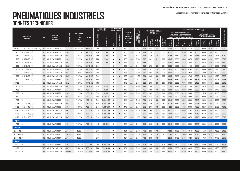|                                          |    |                           |             |                        |                          | <b>DIMENSION</b><br>DE LA JANTE |                          | <b>COMPOSÉ DE</b><br><b>CAOUTCHOUC</b> |              |     |                                  |                                    | <b>DIMENSIONS RÉELLES</b> |                      |                                   |                      |      |          |                                                       | CAPACITÉ DE CHARGE <sup>2</sup> (kg) |                               |                    |                    |                    |                   |
|------------------------------------------|----|---------------------------|-------------|------------------------|--------------------------|---------------------------------|--------------------------|----------------------------------------|--------------|-----|----------------------------------|------------------------------------|---------------------------|----------------------|-----------------------------------|----------------------|------|----------|-------------------------------------------------------|--------------------------------------|-------------------------------|--------------------|--------------------|--------------------|-------------------|
|                                          |    |                           |             | <b>CHAMBRE</b><br>AIR* | <b>FLAP</b>              |                                 |                          |                                        |              |     | <b>INDICE</b><br>DE              | (bar)                              |                           |                      | DU PNEU (mm)                      |                      |      |          | <b>CHARIOTS ÉLÉVATEURS</b><br>À FOURCHE À CONTREPOIDS |                                      | AUTRES VÉHICULES <sup>3</sup> |                    |                    |                    |                   |
| <b>DIMENSION</b><br><b>DU PNEU</b>       | PR | MARQUE /<br><b>NOM DE</b> | SCULPTURE   |                        |                          |                                 |                          |                                        |              |     | <b>CHARIOT</b><br><b>ET CODE</b> |                                    |                           |                      |                                   |                      |      |          | Jusqu'à 25 km/h   Jusqu'à 35 km/h                     |                                      |                               |                    | À VITESSE MAXIMALE |                    |                   |
|                                          |    | <b>PRODUIT</b>            |             | ET<br>VALVE**          |                          | <b>CINAMMAC</b>                 | ERNATIV<br>닣             | ē                                      | NON-MARQUANT |     | DE.<br><b>VITESSE</b>            | <b>PRESSION<br/>DE GONFLAGE (I</b> | ors-tout<br>iamètre       | Largeur<br>hors-tout | ឹ<br>nemen:<br>ginale<br><b>u</b> | ី<br>ទី<br>lque<br>E | ğ    | آه<br>Re |                                                       | directrice<br>Roue                   | Jusqu'à<br>10 km/h            | Jusqu'à<br>25 km/h | Jusqu'à<br>40 km/h | Jusqu'à<br>50 km/h | STATIQUE (0 km/h) |
| $28 \times 9 - 15$ (8.15-15 & 225/75-15) |    | 18 SOLIDEAL AIR 570       | AIR 570     | $V3 - 02 - 08$         | 180-15 HD                | 7.00                            |                          | ٠                                      |              | 146 | A <sub>5</sub>                   | 10.00                              | 707                       | 211                  | 14                                | 329                  | 3900 | 3000     | 3750                                                  | 2775                                 | 3900                          | 3000               | 2670               | 2520               | 4530              |
| $250 - 15$ (250/70-15)                   |    | 16 SOLIDEAL AIR 550       | $ED+$       | TR77A                  | 180-15 HD                | 7.50                            | 7.00                     | ٠                                      |              | 150 | A <sub>5</sub>                   | 8.25                               | 734                       | 238                  | 13                                | 338                  | 4355 | 3350     | 4190                                                  | 3100                                 | 4355                          | 3350               | 2980               | 2815               | 5060              |
| $250 - 15$ (250/70-15)                   |    | 16 SOLIDEAL HAULER        | <b>HALT</b> | TR77A                  | 180-15 HD                | 7.50                            | 7.00                     | ٠                                      |              | 150 | A <sub>5</sub>                   | 8.25                               | 743                       | 226                  | 19                                | 337                  | 4355 | 3350     | 4190                                                  | 3100                                 | 4355                          | 3350               | 2980               | 2815               | 5060              |
| $250 - 15$ (250/70-15)                   |    | 18 SOLIDEAL AIR 550       | $ED+$       | TR77A                  | 180-15 HD                | 7.50                            | 7.00                     | ٠                                      | п            | 153 | A <sub>5</sub>                   | 9.50                               | 735                       | 231                  | 21                                | 336                  | 4745 | 3650     | 4565                                                  | 3375                                 | 4745                          | 3650               | 3250               | 3065               | 5510              |
| $250 - 15$ (250/70-15)                   |    | 20 SOLIDEAL HAULER        | <b>HALT</b> | TR77A                  | 180-15 HD                | 7.50                            | 7.00                     | п                                      |              | 155 | A <sub>5</sub>                   | 10.00                              | 733                       | 231                  | 23                                | 337                  | 5040 | 3875     | 4845                                                  | 3585                                 | 5040                          | 3875               | 3450               | 3255               | 5850              |
| $300 - 15$ (315/70-15)                   |    | 18 SOLIDEAL HAULER        | <b>HALT</b> | <b>TR78A</b>           | 180-15 HD                | 8.00                            |                          | п                                      |              | 160 | A <sub>5</sub>                   | 7.50                               | 850                       | 278                  | 25                                | 384                  | 5850 | 4500     | 5625                                                  | 4165                                 | 5850                          | 4500               | 4005               | 3780               | 6795              |
| $300 - 15$ (315/70-15)                   |    | 18 SOLIDEAL AIR 550       | $ED+$       | <b>TR78A</b>           | 180-15 HD                | 8.00                            | $\overline{\phantom{a}}$ | г                                      | п            | 160 | A <sub>5</sub>                   | 7.50                               | 833                       | 287                  | 19                                | 377                  | 5850 | 4500     | 5625                                                  | 4165                                 | 5850                          | 4500               | 4005               | 3780               | 6795              |
| $300 - 15$ (315/70-15)                   |    | 20 SOLIDEAL HAULER        | <b>HALT</b> | <b>TR78A</b>           | 180-15 HD                | 8.00                            | $\overline{\phantom{a}}$ | п                                      |              | 164 | A <sub>5</sub>                   | 9.00                               | 834                       | 282                  | 26                                | 375                  | 6500 | 5000     | 6250                                                  | 4625                                 | 6500                          | 5000               | 4450               | 4200               | 7550              |
| $300 - 15$ (315/70-15)                   |    | 22 SOLIDEAL HAULER        | <b>HALT</b> | <b>TR78A</b>           | 180-15 HD                | 8.00                            |                          | г                                      | ٠            | 165 | A <sub>5</sub>                   | 10.00                              | 834                       | 282                  | 26                                | 377                  | 6695 | 5150     | 6440                                                  | 4765                                 | 6695                          | 5150               | 4585               | 4325               | 7775              |
| $300 - 15$ (315/70-15)                   |    | 22 SOLIDEAL AIR 550       | $ED+$       | <b>TR78A</b>           | 180-15 HD                | 8.00                            | $\overline{\phantom{a}}$ | ٠                                      |              | 165 | A <sub>5</sub>                   | 10.00                              | 833                       | 287                  | 18                                | 377                  | 6695 | 5150     | 6440                                                  | 4765                                 | 6695                          | 5150               | 4585               | 4325               | 7775              |
| $315/85 - 15$                            |    | 20 SOLIDEAL HAULER        | <b>HALT</b> | <b>TR78A</b>           | 180-15 HD                | 7.50                            | $\overline{\phantom{a}}$ | ٠                                      |              | 172 | A <sub>5</sub>                   | 9.50                               | 908                       | 290                  | 26                                | 397                  | 8190 | 6300     | 7875                                                  | 5830                                 | 8190                          | 6300               | 5605               | 5290               | 9515              |
| $7.00 - 15$                              |    | 14 SOLIDEAL HAULER        | <b>HALT</b> | <b>TR75A</b>           | 180-15                   | 5.50                            | 5.00                     | п                                      |              | 140 | A <sub>5</sub>                   | 9.00                               | 734                       | 190                  | 22                                | 334                  | 3350 | 2575     | 3220                                                  | 2380                                 | 3350                          | 2575               | 2235               | 2110               | 3890              |
| $7.00 - 15$                              |    | 14 SOLIDEAL AIR 56        | AIR 561     | <b>TR75A</b>           | 180-15                   | 5.50                            | 5.00                     | п                                      |              | 140 | A <sub>5</sub>                   | 9.00                               | 755                       | 196                  | 16                                | 353                  | 3350 | 2575     | 3220                                                  | 2380                                 | 3350                          | 2575               | 2235               | 2110               | 3890              |
| $7.00 - 15$                              |    | 14 SOLIDEAL AIR 550       | $ED+$       | <b>TR75A</b>           | 180-15                   | 5.50                            | 5.00                     | ٠                                      |              | 140 | A <sub>5</sub>                   | 9.00                               | 762                       | 202                  | 17                                | 344                  | 3350 | 2575     | 3220                                                  | 2380                                 | 3350                          | 2575               | 2235               | 2110               | 3890              |
| $7.50 - 15$                              |    | 14 SOLIDEAL HAULER        | <b>HALT</b> | <b>TR75A</b>           | 180-15                   | 6.00                            | 5.50/6.50                | п                                      |              | 144 | A <sub>5</sub>                   | 9.25                               | 781                       | 212                  | 20                                | 356                  | 3640 | 2800     | 3500                                                  | 2590                                 | 3640                          | 2800               | 2490               | 2350               | 4230              |
| $7.50 - 15$                              |    | 14 SOLIDEAL AIR 550       | $ED+$       | <b>TR75A</b>           | 180-15                   | 6.00                            | 5.50/6.50                | п                                      |              | 144 | A <sub>5</sub>                   | 9.25                               | 784                       | 212                  | 20                                | 357                  | 3640 | 2800     | 3500                                                  | 2590                                 | 3640                          | 2800               | 2490               | 2350               | 4230              |
| $8.25 - 15$ (7.50-15(32))                |    | 14 SOLIDEAL HAULER        | <b>HALT</b> | TR77A                  | 180-15                   | 6.50                            | 6.00/7.00                | п                                      |              | 149 | A <sub>5</sub>                   | 8.00                               | 841                       | 246                  | 19                                | 380                  | 4225 | 3250     | 4065                                                  | 3005                                 | 4225                          | 3250               | 2895               | 2730               | 4910              |
| $8.25 - 15$ (7.50-15(32))                |    | 14 SOLIDEAL AIR 550       | $ED+$       | TR77A                  | 180-15                   | 6.50                            | 6.00/7.00                | п                                      | ٠            | 149 | A <sub>5</sub>                   | 8.00                               | 846                       | 251                  | 13                                | 390                  | 4225 | 3250     | 4065                                                  | 3005                                 | 4225                          | 3250               | 2895               | 2730               | 4910              |
| $8.25 - 15$ (7.50-15(32))                |    | 16 SOLIDEAL HAULER        | <b>HALT</b> | TR77A                  | 180-15                   | 6.50                            | 6.00/7.00                | п                                      |              | 152 | A <sub>5</sub>                   | 9.25                               | 841                       | 246                  | 23                                | 380                  | 4615 | 3550     | 4440                                                  | 3285                                 | 4615                          | 3550               | 3160               | 2980               | 5360              |
| $8.25 - 15$ (7.50-15(32))                |    | 16 SOLIDEAL AIR 550       | $ED+$       | TR77A                  | 180-15                   | 6.50                            | 6.00/7.00                | п                                      | п            | 152 | A <sub>5</sub>                   | 9.25                               | 845                       | 252                  | 19                                | 380                  | 4615 | 3550     | 4440                                                  | 3285                                 | 4615                          | 3550               | 3160               | 2980               | 5360              |
| $8.25 - 15$ (7.50-15(32))                |    | 18 SOLIDEAL HAULER        | <b>HALT</b> | TR77A                  | 180-15                   | 6.50                            | 6.00/7.00                | г                                      |              | 153 | A <sub>5</sub>                   | 10.00                              | 841                       | 246                  | 19                                | 381                  | 4745 | 3650     | 4565                                                  | 3375                                 | 4745                          | 3650               | 3250               | 3065               | 5510              |
| 16 po                                    |    |                           |             |                        |                          |                                 |                          |                                        |              |     |                                  |                                    |                           |                      |                                   |                      |      |          |                                                       |                                      |                               |                    |                    |                    |                   |
| $7.50 - 16$                              |    | 12 SOLIDEAL AIR 550       | $ED+$       | <b>TR75A</b>           | 180-16                   | 6.0                             | 5.0/5.50                 | $\blacksquare$                         |              | 144 | A <sub>5</sub>                   | 8.00                               | 810                       | 209                  | 12                                | 373                  | 3640 | 2800     | 3500                                                  | 2590                                 | 3640                          | 2800               | 2490               | 2350               | 4230              |
| 16.5 po                                  |    |                           |             |                        |                          |                                 |                          |                                        |              |     |                                  |                                    |                           |                      |                                   |                      |      |          |                                                       |                                      |                               |                    |                    |                    |                   |
| $8.00 - 16.5$                            |    | 10 SOLIDEAL AIR 56        | AIR 561     | <b>TBLS</b>            |                          | 6.75                            |                          | п                                      |              | 121 | A <sub>5</sub>                   | 5.60                               | 740                       | 225                  | 16                                |                      | 1885 | 1450     | 1815                                                  | 1340                                 | 1885                          | 1450               | 1290               | 1220               | 2190              |
| $8.75 - 16.5$                            |    | 10 SOLIDEAL AIR 56        | AIR 561     | <b>TBLS</b>            |                          | 6.75                            |                          | г                                      |              | 124 | A <sub>5</sub>                   | 5.25                               | 757                       | 224                  | 18                                |                      | 2080 | 1600     | 2000                                                  | 1480                                 | 2080                          | 1600               | 1425               | 1345               | 2415              |
| $9.50 - 16.5$                            |    | 10 SOLIDEAL AIR 56        | AIR 561     | <b>TBLS</b>            | $\overline{\phantom{a}}$ | 6.75                            |                          | ٠                                      |              | 127 | A <sub>5</sub>                   | 5.00                               | 799                       | 253                  | 19                                |                      | 2275 | 1750     | 2190                                                  | 1620                                 | 2275                          | 1750               | 1560               | 1470               | 2645              |
| 20 <sub>po</sub>                         |    |                           |             |                        |                          |                                 |                          |                                        |              |     |                                  |                                    |                           |                      |                                   |                      |      |          |                                                       |                                      |                               |                    |                    |                    |                   |
| $9.00 - 20$                              |    | 14 SOLIDEAL AIR 550       | $ED+$       | $V3 - 02 - 14$         | $200 - 20$               | 7.00                            | 6.50/7.50                | п                                      |              | 160 | A <sub>5</sub>                   | 9.00                               | 1046                      | 286                  | 23                                | 476                  | 5850 | 4500     | 5625                                                  | 4165                                 | 5850                          | 4500               | 4005               | 3780               | 6795              |
| $10.00 - 20$                             |    | 16 SOLIDEAL HAULER        | <b>HALT</b> | V3-02-14               | 200-20                   | 7.50                            | 7.00/8.00                | п                                      |              | 164 | A <sub>5</sub>                   | 9.00                               | 1088                      | 283                  | 30                                | 496                  | 6500 | 5000     | 6250                                                  | 4625                                 | 6500                          | 5000               | 4450               | 4200               | 7550              |
| $10.00 - 20$                             |    | 16 SOLIDEAL HAULER        | HA SM       | V3-02-14               | 200-20                   | 7.50                            | 7.00/8.00                | п                                      |              | 164 | A <sub>5</sub>                   | 9.00                               | 1085                      | 288                  | $\overline{\phantom{a}}$          | 499                  | 6500 | 5000     | 6250                                                  | 4625                                 | 6500                          | 5000               | 4450               | 4200               | 7550              |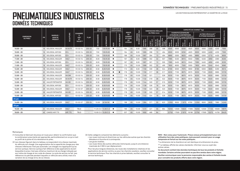## **PNEUMATIQUES INDUSTRIELS DONNÉES TECHNIQUES**

|                  |    |                                 |             |                         |             | <b>DIMENSION</b><br><b>DE LA JANTE</b> |                     | <b>COMPOSÉ DE</b><br>CAOUTCHOUC |              |     |                                        |                              |                       |                      | <b>DIMENSIONS RÉELLES</b>          |                        | CAPACITÉ DE CHARGE <sup>2</sup> (kg)                                                     |                |            |                    |                                                     |                    |                    |                    |                   |
|------------------|----|---------------------------------|-------------|-------------------------|-------------|----------------------------------------|---------------------|---------------------------------|--------------|-----|----------------------------------------|------------------------------|-----------------------|----------------------|------------------------------------|------------------------|------------------------------------------------------------------------------------------|----------------|------------|--------------------|-----------------------------------------------------|--------------------|--------------------|--------------------|-------------------|
| <b>DIMENSION</b> |    | <b>MARQUE</b>                   | SCULPTURE   | <b>CHAMBRE</b>          |             |                                        |                     |                                 |              |     | <b>INDICE</b><br>DE.<br><b>CHARIOT</b> | PRESSION<br>: GONFLAGE (bar) |                       |                      | DU PNEU (mm)                       |                        | <b>CHARIOTS ÉLÉVATEURS</b><br>À FOURCHE À CONTREPOIDS<br>Jusqu'à 25 km/h Jusqu'à 35 km/h |                |            |                    | AUTRES VÉHICULES <sup>3</sup><br>À VITESSE MAXIMALE |                    |                    |                    | STATIQUE (0 km/h) |
| <b>DU PNEU</b>   | PR | <b>NOM DE</b><br><b>PRODUIT</b> |             | $AIR*$<br>ET<br>VALVE** | <b>FLAP</b> |                                        |                     |                                 |              |     | ET CODE                                |                              |                       |                      |                                    |                        |                                                                                          |                |            |                    |                                                     |                    |                    |                    |                   |
|                  |    |                                 |             |                         |             | OMMANDÉE<br>ជួ                         | <b>ALTERNATIVE</b>  | NOIR                            | NON-MARQUANT |     | DE.<br><b>VITESSE</b>                  | 뿜                            | Diamètre<br>hors-tout | Largeur<br>hors-tout | Bande de<br>roulement<br>originale | sous<br>$\overline{5}$ | porteuse<br>Roue                                                                         | Roue<br>direct | porteuse   | Roue<br>directrice | Jusqu'à<br>10 km/h                                  | Jusqu'à<br>25 km/h | Jusqu'à<br>40 km/h | Jusqu'à<br>50 km/h |                   |
| $10.00 - 20$     |    | 16 SOLIDEAL HAULER              | HA HA TR    | $V3 - 02 - 14$          | $200 - 20$  | 7.50                                   | 7.00/8.00           | п                               |              | 164 | A <sub>5</sub>                         | 9.00                         | 1085                  | 288                  | 30                                 | 498                    | 6500                                                                                     | 5000           | 6250       | 4625               | 6500                                                | 5000               | 4450               | 4200               | 7550              |
| $10.00 - 20$     |    | 16 SOLIDEAL AIR 550             | $ED+$       | $V3 - 02 - 14$          | 200-20      | 7.50                                   | 7.00/8.00           | п                               |              | 164 | A <sub>5</sub>                         | 9.00                         | 1065                  | 286                  | 13                                 | 494                    | 6500                                                                                     | 5000           | 6250       | 4625               | 6500                                                | 5000               | 4450               | 4200               | 7550              |
| $10.00 - 20$     |    | 20 SOLIDEAL AIR 550             | $ED+$       | $V3 - 02 - 14$          | $200 - 20$  | 7.50                                   | 7.00/8.00           | Ð                               |              | 166 | A <sub>5</sub>                         | 10.00                        | 1067                  | 284                  | 13                                 | 494                    | 6890                                                                                     | 5300           | 6625       | 4905               | 6890                                                | 5300               | 4715               | 4450               | 8005              |
| $11.00 - 20$     |    | 16 SOLIDEAL HAULER              | <b>HALT</b> | $V3 - 02 - 14$          | $200 - 20$  | 8.00                                   | 7.50/8.50           |                                 |              | 167 | A <sub>5</sub>                         | 9.00                         | 1089                  | 302                  | 32                                 | 507                    | 7085                                                                                     | 5450           | 6815       | 5040               | 7085                                                | 5450               | 4850               | 4580               | 8230              |
| $11.00 - 20$     |    | 16 SOLIDEAL AIR 550             | $ED+$       | $V3 - 02 - 14$          | $200 - 20$  | 8.00                                   | 7.50/8.50           | п                               |              | 167 | A <sub>5</sub>                         | 9.00                         | 1087                  | 301                  | 13                                 | 505                    | 7085                                                                                     | 5450           | 6815       | 5040               | 7085                                                | 5450               | 4850               | 4580               | 8230              |
| $11.00 - 20$     |    | 18 SOLIDEAL HAULER              | <b>HALT</b> | $V3 - 02 - 14$          | $200 - 20$  | 8.00                                   | 7.50/8.50           | Ð                               |              | 170 | A <sub>5</sub>                         | 10.00                        | 1089                  | 302                  | 32                                 | 495                    | 7800                                                                                     | 6000           | 7500       | 5550               | 7800                                                | 6000               | 5340               | 5040               | 9060              |
| $12.00 - 20$     |    | 18 SOLIDEAL HAULER              | <b>HALT</b> | $V3 - 02 - 14$          | $200 - 20$  | 8.50                                   | 8.00/9.00           | п                               |              | 172 | A <sub>5</sub>                         | 9.00                         | 1150                  | 330                  | 36                                 | 524                    | 8190                                                                                     | 6300           | 7875       | 5830               | 8190                                                | 6300               | 5605               | 5290               | 9515              |
| $12.00 - 20$     |    | 20 SOLIDEAL HAULER              | <b>HALT</b> | $V3 - 02 - 14$          | $200 - 20$  | 8.50                                   | 8.00/9.00           |                                 | п            | 176 | A <sub>5</sub>                         | 10.00                        | 1150                  | 317                  | 36                                 | 517                    | 9230                                                                                     | 7100           | 8875       | 6570               | 9230                                                | 7100               | 6320               | 5965               | 10720             |
| $12.00 - 20$     |    | 20 SOLIDEAL HAULER              | HA SM       | $V3 - 02 - 14$          | $200 - 20$  | 8.50                                   | 8.00/9.00           | п                               |              | 176 | A <sub>5</sub>                         | 10.00                        | 1145                  | 321                  |                                    | 528                    | 9230                                                                                     | 7100           | 8875       | 6570               | 9230                                                | 7100               | 6320               | 5965               | 10720             |
| $12.00 - 20$     |    | 20 SOLIDEAL HAULER              | HA HA TR    | $V3 - 02 - 14$          | $200 - 20$  | 8.50                                   | 8.00/9.00           | п                               |              | 176 | A <sub>5</sub>                         | 10.00                        | 1132                  | 319                  | 36                                 | 522                    | 9230                                                                                     | 7100           | 8875       | 6570               | 9230                                                | 7100               | 6320               | 5965               | 10720             |
| $12.00 - 20$     |    | 20 HAULER PORTMASTER            | HA HD       | $V3 - 02 - 14$          | $200 - 20$  | 8.50                                   | 8.00/9.00           | п                               |              | 176 | A <sub>5</sub>                         | 10.00                        | 1144                  | 320                  | 57                                 | 515                    | 9230                                                                                     | 7100           | 8875       | 6570               | 9230                                                | 7100               | 6320               | 5965               | 10720             |
| $12.00 - 20$     |    | 20 SOLIDEAL AIR 550             | $ED+$       | $V3 - 02 - 14$          | $200 - 20$  | 8.50                                   | 8.00/9.00           | п                               |              | 176 | A <sub>5</sub>                         | 10.00                        | 1138                  | 326                  | 18                                 | 526                    | 9230                                                                                     | 7100           | 8875       | 6570               | 9230                                                | 7100               | 6320               | 5965               | 10720             |
| $12.00 - 20$     |    | 28 SOLIDEAL HAULER              | <b>HALT</b> | $V3 - 02 - 07$          | $200 - 20$  | 8.50                                   | 8.00/9.00           | п                               |              | 176 | A <sub>5</sub>                         | 10.00                        | 1150                  | 323                  | 36                                 | 523                    | 9230                                                                                     | 7100           | 8875       | 6570               | 9230                                                | 7100               | 6320               | 5965               | 10720             |
| $12.00 - 20$     |    | 28 HAULER PORTMASTER            | HA HD       | $V3 - 02 - 14$          | $200 - 20$  | 8.50                                   | 8.00/9.00           | п                               |              | 176 | A <sub>5</sub>                         | 10.00                        | 1130                  | 320                  | 57                                 | 514                    | 9230                                                                                     | 7100           | 8875       | 6570               | 9230                                                | 7100               | 6320               | 5965               | 10720             |
| $12.00 - 20$     |    | 28 SOLIDEAL AIR 550             | $ED+$       | $V3 - 02 - 14$          | $200 - 20$  | 8.50                                   | 8.00/9.00           | п                               |              | 176 | A <sub>5</sub>                         | 10.00                        | 1142                  | 324                  | 18                                 | 528                    | 9230                                                                                     | 7100           | 8875       | 6570               | 9230                                                | 7100               | 6320               | 5965               | 10720             |
| 24 po            |    |                                 |             |                         |             |                                        |                     |                                 |              |     |                                        |                              |                       |                      |                                    |                        |                                                                                          |                |            |                    |                                                     |                    |                    |                    |                   |
| $14.00 - 24$     |    | 28 SOLIDEAL HAULER              | <b>HALT</b> | $V3 - 02 - 07$          | 250-24      | 10.00                                  | W/VA/WI             | п                               |              | 188 | A <sub>5</sub>                         | 10.00                        | 1364                  | 371                  | 50                                 | 623                    | 12350                                                                                    | 9500           | 11875 8790 |                    | 12350                                               | 9500               | 8455               | 7980               | 14345             |
| 25 po            |    |                                 |             |                         |             |                                        |                     |                                 |              |     |                                        |                              |                       |                      |                                    |                        |                                                                                          |                |            |                    |                                                     |                    |                    |                    |                   |
| $16.00 - 25$     |    | 32 SOLIDEAL HAULER              | <b>HALT</b> | <b>TBLS</b>             |             |                                        | 11.25/2.0 13.00/2.0 |                                 |              | 195 | A <sub>5</sub>                         | 10.00                        | 1472                  | 421                  | 55                                 | 664                    | 16250                                                                                    | 12500          | 15625      | 11565              | 16250                                               | 12500              | 11125 10500        |                    | 18875             |
| $18.00 - 25$     |    | 40 CAMSO AIR 775                | AIR 775     | <b>TBLS</b>             |             |                                        | 13.00/2.5 15.00/2.5 |                                 |              | 207 | A <sub>5</sub>                         | 10.00                        | 1650                  | 485                  | 64                                 |                        | 22750                                                                                    | 17500          |            | 21875 16190        |                                                     | 22750 17500        | 15575 14700        |                    | 26425             |

#### Remarques

- (1) Consultez le fabricant de pneus et roues pour obtenir la confirmation que la combinaison pneu/jante est appropriée, particulièrement en ce qui a trait au profil de la jante et à la résistance du pneu.
- (2) Les vitesses figurant dans le tableau correspondent à la vitesse maximale du véhicule non chargé. Une augmentation de la capacité de charge pour des vitesses inférieures n'est pas autorisée. Les charges ne s'appliquent qu'au service cyclique. Service cyclique fait référence à des applications durant lesquelles le pneu n'est pas utilisé au maximum de sa charge indiquée par son indice de charge et son code de vitesse. Le cycle de service ne fait pas référence à la période pendant laquelle un véhicule sera utilisé, mais à la variation de sa charge et/ou de sa vitesse.

(3) Cette catégorie comprend les éléments suivants :

- Les roues motrices et directrices sur les véhicules autres que les chariots élévateurs à fourche et à contrepoids.
- Les grues mobiles.
- Les roues libres des autres véhicules (remorques), jusqu'à une distance maximale de 2 000 m par déplacement.

 Pour les plus longues distances, les roues des installations rotatives et les applications de service continu ou pour les chariots cavaliers, veuillez consulter le service technique. Pour les chariots à prise latérale, veuillez consulter le service technique.

**NHS – Non conçu pour l'autoroute : Pneus conçus principalement pour une utilisation hors des voies publiques, mais pouvant convenir pour un usage temporaire et fortuit sur les voies publiques.**

\* La dimension de la chambre à air est identique à la dimension du pneu.

\*\* Le tableau affiche les valves standards. Informez-vous au sujet des autres valves.

**Ce document contient des données techniques de tous les produits à l'échelle mondiale. Certains articles pourraient ne pas être vendus dans votre région. Veuillez communiquer avec la personne responsable des ventes à l'échelle locale pour connaître les produits offerts dans votre région.**